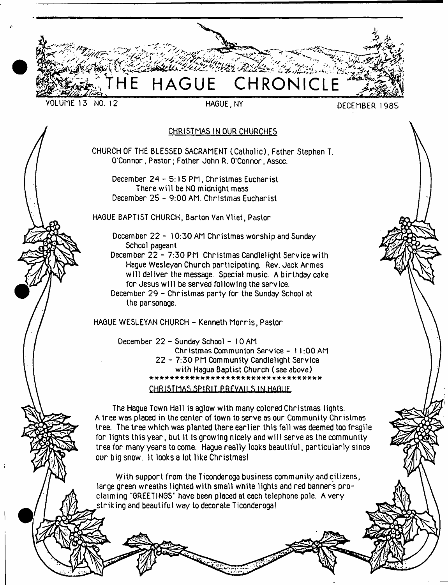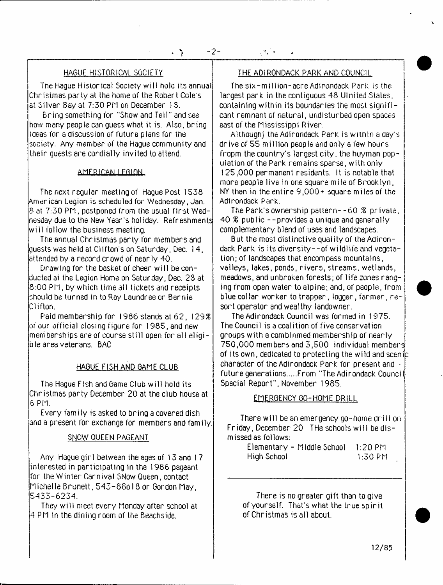The Hague Historical Society will hold its annual Christmas party at the home of the Robert Cole's at Silver Bay at 7:30 PM on December IS.

Bring something for "Show and Tell" and see how many people can guess what it is. Also, bring ideas for a discussion of future plans for the society. Any member of the Hague community and their guests are cordially invited to attend.

#### AMFRICAN I FGION.

The next regular meeting of Hague Post 1538 American Legion is scheduled for Wednesday, Jan. 8 at 7:30 PM, postponed from the usual first Wednesday due to the New Year's hoi iday. Refreshments w ill follow the business meeting.

The annual Christmas party for members and guests was held at Clifton's on Saturday, Dec. 14, attended by a record crowd of nearly 40.

Drawing for the basket of cheer w ill be conducted at the Legion Home on Saturday, Dec. 28 at 8:00 PM, by which time all tickets and receipts should be turned in to Ray Laundree or Bernie Clifton.

Paid membership for 1986 stands at 62, *\ 2 9 %* of our official closing figure for 1985, and new memberships are of course still open for all eligible area veterans. BAC

### HAGUE FISH AND GAME CLUB

The Hague Fish and Game Club w ill hold its Christmas party December 20 at the club house at 6 PM.

Every family is asked to bring a covered dish and a present for exchange for members and family.

# SNOW QUEEN PAGEANT

Any Hague gir 1 between the ages of 13 and 1 7 interested in participating in the 1986 pageant for the Winter Carnival SNow Queen, contact Michelle Brunett, 543-88ol 8 or Gordon May, l5433-6234.

They will meet every Monday after school at 4 PM in the dining room of the Beachside.

# HAGUE HISTORICAL SOCIETY **THE ADIRONDACK PARK AND COUNCIL**

The six-m il lion-acre Adirondack Park is the largest park in the contiguous 48 Ulnited States, containing within its boundaries the most significant remnant of natural, undisturbed open spaces east of the Mississippi River.

Although] the Adirondack Park is within a day's drive of 55 million people and only a few hours fropm the country's largest city, the huyman population of the Park remains sparse, with only 125.000 permanent residents. It is notable that more people live in one square mile of Brooklyn, NY than in the entire 9,000+ square miles of the Adirondack Park.

The Park's ownership pattern--60 *%* private, 40 *%* public --provides a unique and generally complementary blend of uses and landscapes.

But the most distinctive quality of the Adirondack Park is its diversity--of wildlife and vegetation; of landscapes that encompass mountains, valleys, lakes, ponds, rivers, streams, wetlands, meadows, and unbroken forests; of life zones ranging from open water to alpine; and, of people, from blue collar worker to trapper, logger, farmer, re sort operator and wealthy landowner.

The Adirondack Council was formed in 1975. The Council is a coalition of five conservation groups with a cornbinmed membership of nearly 750.000 members and 3,500 individual members of its own, dedicated to protecting the wild and sceni character of the Adirondack Park, for present and • future generations.....From "The Adirondack Council Special Report", November 1985.

### EMERGENCY GO-HOME DRILL

There will be an emergency go-home drill on Friday, December 20 THe schools w ill be dismissed as follows:

| Elementary - Middle School | 1:20 PM |
|----------------------------|---------|
| High School                | 1:30 PM |

There is no greater gift than to give of yourself. That's what the true spirit of Christmas is all about.

12/85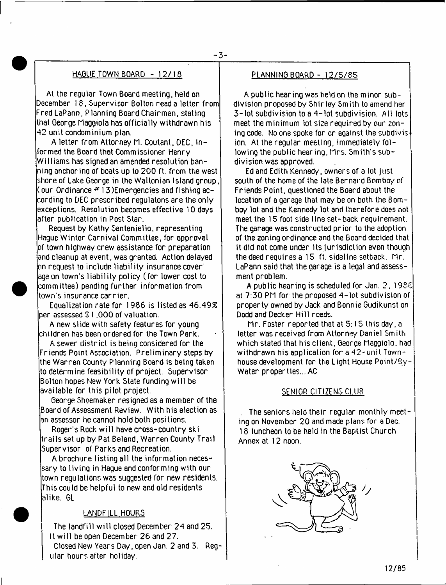# HAGUE TOWN BOARD - 12/18 PLANNING BOARD - 12/5/85

At the regular Town Board meeting, held on December 18, Supervisor Bolton read a letter from Fred LaPann, Planning Board Chairman, stating that George Maggiola has officially withdrawn his 42 unit condominium plan.

A letter from Attorney M. Coutant, DEC, informed the Board that Commissioner Henry Williams has signed an amended resolution banning anchoring of boats up to 200 ft. from the west shore of Lake George in the Waltonian Island group, (our Ordinance \*■ 13)Emergencies and fishing ac- $\overline{\text{cor}}$ ding to DEC prescribed regulatons are the only  $\overline{\text{cor}}$ exceptions. Resolution becomes effective 10 days after publication in Post Star.

Request by Kathy Santaniello, representing Hague Winter Carnival Committee, for approval of town highway crew assistance for preparation and cleanup at event, was granted. Action delayed on request to include liability insurance cover:  $\,$ age on town's liability policy (for lower cost to committee) pending further information from town's insurance carrier.

Equalization rate for 1986 is listed as 46.49\$ per assessed \$ 1,000 of valuation.

A new slide with safety features for young children has been ordered for the Town Perk.

A sewer district is being considered for the Friends Point Association. Preliminary steps by the Warren County Planning Board is being taken to determine feasibility of project. Supervisor Bolton hopes New York State funding w ill be available for this pilot project.

George Shoemaker resigned as a member of the Board of Assessment Review. With his election as an assessor he cannot hold both positions.

Roger's Rock w ill have cross-country ski trails set up by Pat Beland, Warren County Trail Supervisor of Parks and Recreation.

A brochure listing all the information necessary to living in Hague and conforming with our town regulations was suggested for new residents. This could be helpful to new and old residents alike. GL

# LANDFILL HOURS

The landfill will closed December 24 and 25. It w ill be open December 26 and 27.

Closed New Years Day, open Jan. 2 and 3. Regular hours after holiday.

A public hearing was held on the minor subdivision proposed by Shirley Smith to amend her 3-lot subdivision to a 4 - lot subdivision. All lots meet the minimum lot size required by our zoning code. No one spoke for or against the subdivis ion. At the regular meeting, immediately following the public hear ing, Mrs. Smith's subdivision was approved.

Ed and Edith Kennedy, owners of a lot just south of the home of the late Bernard Bomboy of Friends Point, questioned the Board about the location of a garage that may be on both the Bomboy lot and the Kennedy lot and therefore does not meet the 15 foot side line set-back requirement. The garage was constructed prior to the adoption of the zoning ordinance and the Board decided that it did not come under its jurisdiction even though the deed requires a 15 ft. sideline setback, Mr. LaPann said that the garage is a legal and assessment problem.

A public hearing is scheduled for Jan. 2, 1986 at 7:30 PM for the proposed 4 - lot subdivision of property owned by Jack and Bonnie Gudikunst on Dodd and Decker Hill roads.

Mr. Foster reported that at 5:15 this day, a letter was received from Attorney Daniel Smith which stated that his client, George Maggiola. had withdrawn his application for a 42-unit Townhouse development for the Light House Point/By-Water properties....AC

# SENIOR CITIZENS CLUB

The seniors held their regular monthly meeting on November 20 and made plans for a Dec. 18 luncheon to be held in the Baptist Church Annex at 12 noon.

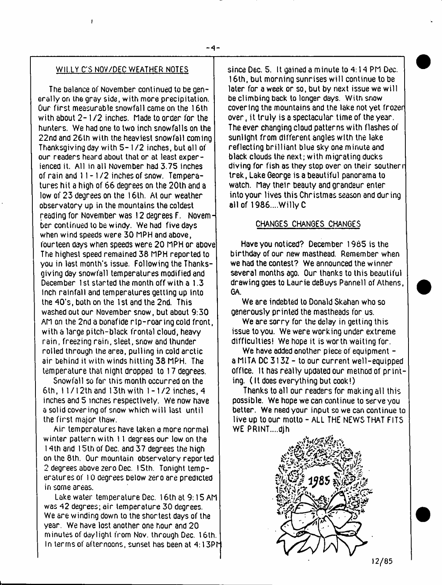# Wll.LY C'S NOV/DEC WEATHER NOTES

**I**

The balance of November continued to be generally on the gray side, with more precipitation. Our first measurable snowfall came on the 16th with about  $2 - 1/2$  inches. Made to order for the hunters. We had one to two inch snowfalls on the 22nd and 26th with the heaviest snowfall coming Thanksgiving day with 5- 1 /2 inches, but all of our readers heard about that or at least experienced it. All in all November had 3.75 inches of rain and 11-1 /2 inches of snow. Temperatures hit a high of 66 degrees on the 20th and a low of 23 degrees on the 16th. At our weather observatory up in the mountains the coldest reading for November was 12 degrees F. November continued to be windy. We had five days when wind speeds were 30 MPH and above, fourteen days when speeds were 20 MPH or above The highest speed remained 38 MPH reported to you in last month's issue. Following the Thanksgiving day snowfall temperatures modified and December 1 st started the month off with a 1.3 inch rainfall and temperatures getting up Into the 40's, both on the 1 st and the 2nd. This washed out our November snow, but about 9:30 AM on the 2nd a bonafide rip-roaring cold front, with a large pitch-black frontal cloud, heavy rain, freezing rain, sleet, snow and thunder rolled through the area, pulling in cold arctic air behind it with winds hitting 38 MPH. The temperature that night dropped to 17 degrees.

Snowfall so far this month occurred on the 6th, 11 / 12th and 13th with 1-1/2 inches, 4 inches and 5 inches respectively. We now have e solid covering of snow which w ill last until the first major thaw.

Air temperatures have taken a more normal winter pattern with 11 degrees our low on the 14th and 15th of Dec. and 37 degrees the high on the 8th. Our mountain observatory reported 2 degrees above zero Dec. 15th. Tonight temperatures of 10 degrees below zero are predicted in some areas.

Lake water temperature Dec. 16th at 9:15 AM was 42 degrees; air temperature 30 degrees. We are winding down to the shortest days of the year. We have lost another one hour and 20 minutes of daylight from Nov. through Dec. 16th. In terms of afternoons, sunset has been at 4:13PM since Dec. 5. It gained a minute to 4:14 PM Dec. 16th, but morning sunrises w ill continue to be later for a week or so, but by next issue we will be climbing back to longer days. With snow covering the mountains and the lake not yet frozer over, it truly is a spectacular time of the year. The ever changing cloud patterns with flashes of sunlight from different angles with the lake reflecting brilliant blue sky one minute and black clouds the next; with migrating ducks diving for fish as they stop over on their southerr trek, Lake George is a beautiful panorama to watch. May their beauty and grandeur enter into your lives this Christmas season and during all of 1986....Willy C

# CHANGES CHANGES CHANGES

Have you noticed? December 1965 is the birthday of our new masthead. Remember when we had the contest? We announced the winner several months ago. Our thanks to this beautiful drawing goes to Laurie deBuys Pannell of Athens, GA.

We are indebted to Donald Skahan who so generously printed the mastheads for us.

We are sorry for the delay in getting this issue to you. We were working under extreme difficulties! We hope it is worth waiting for.

We have added another piece of equipment a MITA DC 3132 - to our current well-equipped office. It has really updated our method of printing. (It does everything but cook!)

Thanks to all our readers for making all this possible. We hope we can continue to serve you better. We need your input so we can continue to live up to our motto - ALL THE NEWS THAT FITS WE PRINT....djh



 $12/85$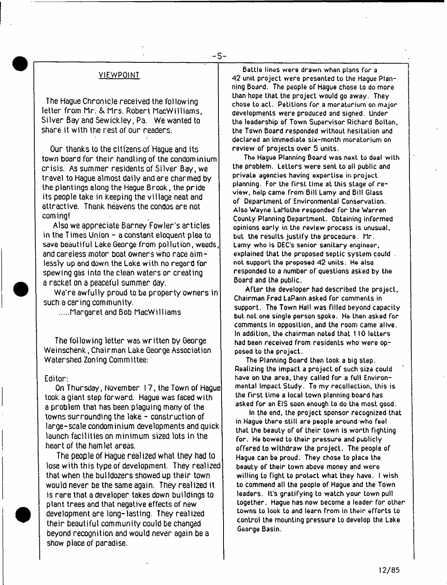#### VIEWPOINT

The Hague Chronicle received the following. letter from hr. & Mrs. Robert hacWilliams, Silver Bay and Sewickley, Pa. We wanted to share it with the rest of our readers.

Our thanks to the citizens of Hague and its town board for their handling of the condominium crisis. As summer residents of Silver Bay, we travel to Hague almost daily and are charmed by the plantings along the Hague Brook, the pride its people take in keeping the village neat and attractive. Thank heavens the condos are not coming!

Also we appreciate Barney Fowler's articles in the Times Union - a constant eloquent plea to save beautiful Lake George from pollution, weeds, and careless motor boat owners who race aimlessly up and down the Lake with no regard for spewing gas into the clean waters or creating a racket on a peaceful summer day.

We're awfully proud to be property owners in such a caring community.

Margaret and Bob hacWilliams

The following letter was written by George Weinschenk, Chairman Lake George Association Watershed Zoning Committee:

#### Editor:

On Thursday, November 17, the Town of Hague took a giant step forward. Hague was faced with a problem that has been plaguing many of the towns surrounding the lake - construction of large-scale condominium developments and quick launch facilities on minimum sized lots in the heart of the hamlet areas.

The people of Hague realized what they had to lose with this type of development. They realized that when the bulldozers showed up their town would never be the same again. They realized it is rare that a developer takes down buildings to plant trees and that negative effects of new development are long-lasting. They realized their beautiful community could be changed beyond recognition and would never again be a show place of paradise.

**Battle lines were drawn when plans for a** *42* **unit project were presented to the Hague Planning Board. The people of Hague chose to do more than hope that the project would go away. They chose to act. Petitions for a moratorium on major developments were produced and signed. Under the leadership of Town Supervisor Richard Bolton, the Town Board responded without hesitation and declared an immediate six-month moratorium on review of projects over 5 units.**

**The Hague Planning Board was next to deal with the problem. Letters were sent to all public and private agencies having expertise in project planning. For the firsL time at this stage of review, help came from Bill Lamy and Bill Glass of Department of Environmental Conservation.** Also Wayne LaMothe responded for the Warren **County Planning Department. Obtaining informed opinions early in the review process is unusual, but the results justify the procedure. Mr. Lamy who is DEC's senior sanitary engineer, explained that the proposed septic system could . not support the proposed <42 units. He also responded to a number of questions asked by the Board and the public.**

**After the developer had described the project, Chairman Fred LaPann asked for comments in support. The Town Hall was filled beyond capaciLy but noL one single person spoke. He then asked for comments in opposition, and the room came alive. In addition, the chairman noted that 110 letters had been received from residents who were opposed to the project.**

**The Planning Board then took a big step. Realizing the impact a project of such size could have on the area, they called for a full Environmental Impact Study. To my recollection, this is the first Lime a local town planning board has asked for an EIS soon enough to do the most good.**

**In the end, the project sponsor recognized that in Hague there still are people around who feel that the beauty of of their town Is worth fighting for. He bowed to their pressure and publicly offered to withdraw the project. The people of Hague can be proud. They chose to place the beauty of their town above money and were willing to fight to protect what they have. I wish to commend all the people of Hague and the Town** leaders. It's gratifying to watch your town pull **together. Hague has now become a leader for other towns to look to and learn from in their efforts Lo control the mounting pressure to develop the Lake George Basin.**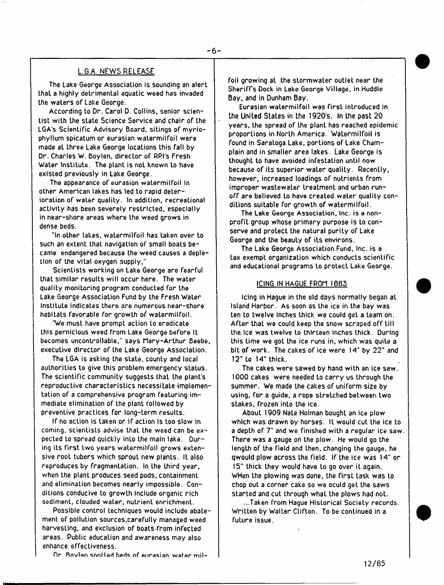# L.G.A. NEWS RELEASE

**The Lake George Association is sounding an alert Lhat a highly detrimental aquatic weed has invaded the waters of Lake George.**

**According to Dr. Carol D. Collins, senior scientist with the state Science Service and chair of the LGA's Scientific Advisory Board, sitings of myriophyllum spicatum or eurasian watermilfoil were made at three Lake George locations this fall by Dr. Charles W. Boylen, director of RPI's Fresh Water Institute. The plant is not known to have existed previously in Lake George.**

**The appearance of eurasion watermilfoil in other American lakes has led to rapid deterioration of water quality. In addition, recreational activity has been severely restricted, especially in near-shore areas where the weed grows in dense beds.**

**"In other lakes, watermilfoil has taken over to such an extent that navigation of small boats became endangered because the weed causes a depletion of the vital oxygen supply."**

**Scientists working on Lake George are fearful that similar results will occur here. The water quality monitoring program conducted for the take George Association Fund by the Fresh Water Institute indicates there are numerous near-shore habitats favorable for growth of watermilfoil.**

**'We must have prompt action to eradicate this pernicious weed from Lake George before It becomes uncontrollable," says tlary-Arthur Beebe, executive director of the Lake George Association.**

**The LGA is asking the state, county and local authorities to give this problem emergency status. The scientific community suggests that the plant's reproductive characteristics necessitate implementation of a comprehensive program featuring immediate elimination of the plant followed by preventive practices for long-term results.**

**If no action is taken or if action is too slow in coming, scientists advise that Lhe weed can be expected to spread quickly into the main lake. During its first two years watermilfoil grows extensive root tubers which sprout new plants. It also reproduces by fragmentation. In the third year, when the plant produces seed pods, containment and elimination becomes nearly impossible. Conditions conducive to growth include organic rich sediment, clouded water, nutrient enrichment.**

**Possible control techniques would include abatement of pollution sources,carefully managed weed harvesting, and exclusion of boats-from infected areas. Public education and awareness may also enhance effectiveness.**

Dr. Boylan spollad heds of aurasian water mil-

**foil growing at the stormwater outlet near the Sheriffs Dock in Lake George Village, in Huddle Bay, and in Dunham Bay.**

**Eurasian watermilfoil was first introduced in the United States in the 1920's. In the past 20 years, the spread of Lhe plant has reached epidemic proportions in North America. Watermilfoil is found in Saratoga Lake, portions of Lake Champlain and in smaller area lakes. Lake George is thought to have avoided infestation until now because of its superior water quality. RecenLly, however, increased loadings of nutrienLs from improper wastewater treatment and urban runoff are believed to have created water quality conditions suitable for growth of watermilfoil.**

**The Lake George Association, Inc. is a nonprofit group whose primary purpose is to conserve and protect the natural purity of Lake George and the beauty of its environs.**

**The Lake George Association Fund, Inc. is a tax exempt organization which conducts scientific and educational programs to protect Lake George.**

#### **ICING IN HAGUE FROM 1885**

**Icing in Hague in the old days normally began at Island Harbor. As soon as the ice in the bay was ten to twelve inches thick we could get a team on. AfLer that we could keep the snow scraped off till the.Ice was twelve to thlrLeen inches thick. During this time we got the ice runs in, which was quite a bit of work. The cakes of ice were 14' by 22" and 12" to 14" thick.**

**The cakes were sawed by hand with an ice saw. 1000 cakes were needed to carry us through the summer. We made the cakes of uniform size by using, for a guide, a rope stretched between two stakes, frozen into the ice.**

**About 1909 Nate Holman bought an ice plow which was drawn by horses. It would cut the ice to a depth of** *7"* **and we finished with a regular ice saw. There was a gauge on the plow. He would go Lhe length of the field and then, changing the gauge, he qwould plow across the field. If the ice was 14" or 15" thick they would have to go over it again. WHen the plowing was done, the first task was to chop out a corner cake so we oculd get the saws started and cut Lhrough what the plows had not.**

**...Taken from Hague Historical Society records. Written by Walter Clifton. To be continued in a future issue.**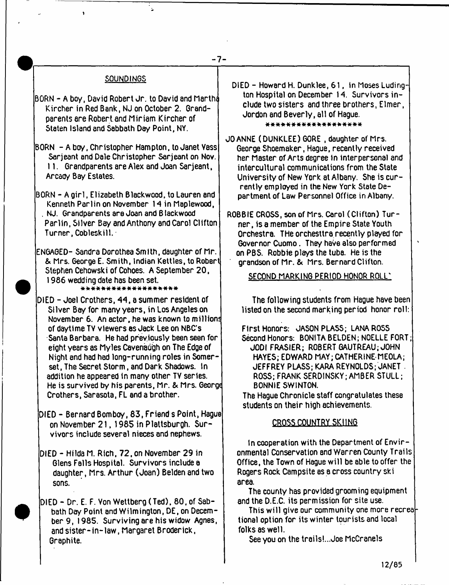# **-7-**

# SOUNDINGS

 $\mathbf{r}$ 

- |BORN A boy, David Robert Jr. to David and Martha Kircher in Red Bank, NJ on October 2. Grandparents ere Robert and Miriam Kircher of Staten Island and Sabbath Day Point, NY.
- BORN A boy. Christopher Hampton, to Janet Yass Serjeant and Dale Christopher Serjeant on Nov. 11. Grandparents are Alex and Joan Sarjeant, Arcady Bay Estates.
- BORN A g irl, Elizabeth Blackwood, to Lauren and Kenneth Parlin on November 14 in Maplewood, . NJ. Grandparents are Joan and B lackwood Parlin, Silver Bay and Anthony and Carol Clifton Turner, Cobleskill.
- ENGAGED- Sandra Dorothea Smith, daughter of Mr. & Mrs. George E. Smith, Indian Kettles, to Robert Stephen Cehowski of Cohoes. A September 20, 1986 wedding date has been set.<br>\*\*\*\*\*\*\*\*\*\*\*\*\*\*\*\*\*\*\*\*\*

DIED - Joel Crothers, 44, a summer resident of Silver Bay for many years, in Los Angeles on November 6. An actor, he was known to millions of daytime TV viewers as Jack Lee on NBC's Santa Barbara, He had previously been seen for eight years as Myles Cavenaugh on The Edge of Night and had had long-running roles in Somerset, The Secret Storm, and Dark Shadows. In addition he appeared in many other TY series. He is survived by his parents, Mr. & Mrs. George Crothers, Sarasota, FL and a brother.

- DIED Bernard Bombay, 83, Friend s Point, Hague on November 21,1985 in Plattsburgh. Survivors include several nieces and nephews.
- DIED Hilda M. Rich, 72, on November 29 in Glens Falls Hospital. Survivors include a daughter, Mrs. Arthur (Joan) Belden and two sons.
- DIED Dr. E. F. Von Wettberg (Ted), 80, of Sabbath Day Point and Wilmington, DE, on December 9, 1985. Surviving are his widow Agnes, and sister-in-law , Margaret Broderick, Graphite.

DIED - Howard H. Dunklee, 61, in Moses Ludington Hospital on December 14. Survivors include two sisters and three brothers, Elmer, Jordon and Beverly, all of Hague.

\* \* \* \* \* \* \* \* \* \* \* \* \* \* \* \* \* \* \*

JOANNE (DUNKLEE) GORE .daughter of Mrs. George Shoemaker, Hague, recently received her Master of Arts degree in interpersonal and intercultural communications from the State University of New York at Albany. She is currently employed in the New York State Department of Law Personnel Office in Albany.

ROBBIE CROSS, son of Mrs. Carol (Clifton) Turner , is a member of the Empire State Youth Orchestra. THe orchesttra recently played for Governor Cuomo. They have also performed on PBS. Robbie plays the tuba. He is the grandson of Mr. & Mrs. Bernard Clifton.

# SECOND MARKING PERIOD HONOR ROLL'

The following students from Hague have been listed on the second marking period honor roll:

First Honors: JASON PLASS; LANA ROSS Second Honors: BONITA BELDEN; NOELLE FORT; JODI FRASIER; ROBERT GAUTREAU; JOHN HAYES; EDWARD MAY; CATHERINE MEOLA; JEFFREY PLASS; KARA REYNOLDS; JANET . ROSS; FRANK SERD1NSKY; AMBER STULL; BONNIE SW1NT0N.

The Hague Chronicle staff congratulates these students on their high achievements.

# CROSS COUNTRY SKIING

In cooperation with the Department of Environmental Conservation and Warren County Trails Office, the Town of Hague w ill be able to offer the Rogers Rock Campsite as a cross country ski area.

The county has provided grooming equipment and the D.E.C. its permission for site use.

This will give our community one more recrea $\digamma$ tional option for its winter tourists and local folks as well.

See you on the trails!...Joe McCranels